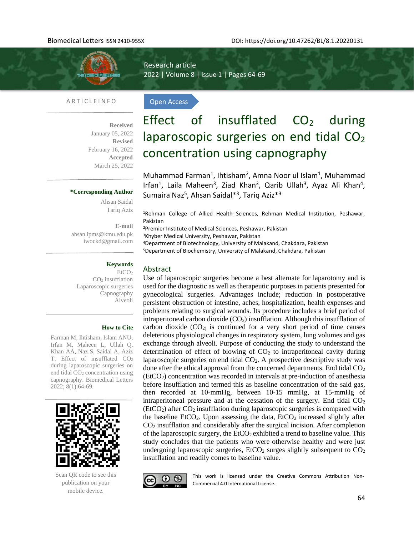

Research article 2022 | Volume 8 | issue 1 | Pages 64-69

Open Access

#### A R T I C L E I N F O

**Received**  January 05, 2022 **Revised** February 16, 2022 **Accepted** March 25, 2022

#### **\*Corresponding Author**

Ahsan Saidal Tariq Aziz

**E-mail**  [ahsan.ipms@kmu.edu.pk](mailto:ahsan.ipms@kmu.edu.pk) [iwockd@gmail.com](mailto:iwockd@gmail.com)

### **Keywords**

EtCO<sup>2</sup> CO<sup>2</sup> insufflation Laparoscopic surgeries Capnography Alveoli

#### **How to Cite**

Farman M, Ihtisham, Islam ANU, Irfan M, Maheen L, Ullah Q, Khan AA, Naz S, Saidal A, Aziz T. Effect of insufflated CO<sub>2</sub> during laparoscopic surgeries on end tidal CO<sub>2</sub> concentration using capnography. Biomedical Letters 2022; 8(1):64-69.



Scan QR code to see this publication on your mobile device.

# Effect of insufflated  $CO<sub>2</sub>$  during laparoscopic surgeries on end tidal  $CO<sub>2</sub>$ concentration using capnography

Muhammad Farman<sup>1</sup>, Ihtisham<sup>2</sup>, Amna Noor ul Islam<sup>1</sup>, Muhammad Irfan<sup>1</sup>, Laila Maheen<sup>3</sup>, Ziad Khan<sup>3</sup>, Qarib Ullah<sup>3</sup>, Ayaz Ali Khan<sup>4</sup>, Sumaira Naz<sup>5</sup>, Ahsan Saidal<sup>\*3</sup>, Tariq Aziz<sup>\*3</sup>

<sup>1</sup>Rehman College of Allied Health Sciences, Rehman Medical Institution, Peshawar, Pakistan

<sup>2</sup>Premier Institute of Medical Sciences, Peshawar, Pakistan

<sup>3</sup>Khyber Medical University, Peshawar, Pakistan

<sup>4</sup>Department of Biotechnology, University of Malakand, Chakdara, Pakistan <sup>5</sup>Department of Biochemistry, University of Malakand, Chakdara, Pakistan

#### Abstract

Use of laparoscopic surgeries become a best alternate for laparotomy and is used for the diagnostic as well as therapeutic purposes in patients presented for gynecological surgeries. Advantages include; reduction in postoperative persistent obstruction of intestine, aches, hospitalization, health expenses and problems relating to surgical wounds. Its procedure includes a brief period of intraperitoneal carbon dioxide  $(CO_2)$  insufflation. Although this insufflation of carbon dioxide  $(CO<sub>2</sub>)$  is continued for a very short period of time causes deleterious physiological changes in respiratory system, lung volumes and gas exchange through alveoli. Purpose of conducting the study to understand the determination of effect of blowing of  $CO<sub>2</sub>$  to intraperitoneal cavity during laparoscopic surgeries on end tidal  $CO<sub>2</sub>$ . A prospective descriptive study was done after the ethical approval from the concerned departments. End tidal  $CO<sub>2</sub>$  $(EtCO<sub>2</sub>)$  concentration was recorded in intervals at pre-induction of anesthesia before insufflation and termed this as baseline concentration of the said gas, then recorded at 10-mmHg, between 10-15 mmHg, at 15-mmHg of intraperitoneal pressure and at the cessation of the surgery. End tidal  $CO<sub>2</sub>$  $(EtCO<sub>2</sub>)$  after  $CO<sub>2</sub>$  insufflation during laparoscopic surgeries is compared with the baseline EtCO<sub>2</sub>. Upon assessing the data,  $ECO<sub>2</sub>$  increased slightly after CO<sup>2</sup> insufflation and considerably after the surgical incision. After completion of the laparoscopic surgery, the  $ECO<sub>2</sub>$  exhibited a trend to baseline value. This study concludes that the patients who were otherwise healthy and were just undergoing laparoscopic surgeries,  $ECO<sub>2</sub>$  surges slightly subsequent to  $CO<sub>2</sub>$ insufflation and readily comes to baseline value.



This work is licensed under the Creative Commons Attribution Non-Commercial 4.0 International License.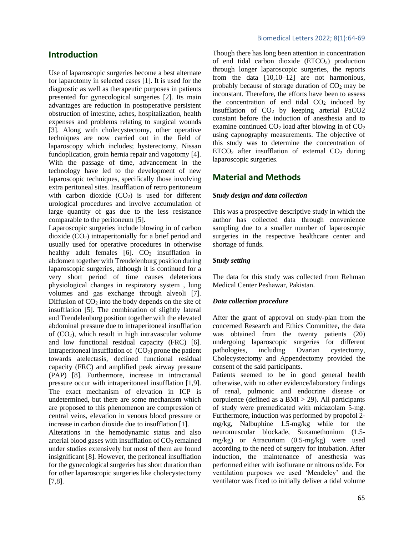# **Introduction**

Use of laparoscopic surgeries become a best alternate for laparotomy in selected cases [1]. It is used for the diagnostic as well as therapeutic purposes in patients presented for gynecological surgeries [2]. Its main advantages are reduction in postoperative persistent obstruction of intestine, aches, hospitalization, health expenses and problems relating to surgical wounds [3]. Along with cholecystectomy, other operative techniques are now carried out in the field of laparoscopy which includes; hysterectomy, Nissan fundoplication, groin hernia repair and vagotomy [4]. With the passage of time, advancement in the technology have led to the development of new laparoscopic techniques, specifically those involving extra peritoneal sites. Insufflation of retro peritoneum with carbon dioxide  $(CO<sub>2</sub>)$  is used for different urological procedures and involve accumulation of large quantity of gas due to the less resistance comparable to the peritoneum [5].

Laparoscopic surgeries include blowing in of carbon dioxide  $(CO<sub>2</sub>)$  intraperitonially for a brief period and usually used for operative procedures in otherwise healthy adult females  $[6]$ .  $CO<sub>2</sub>$  insufflation in abdomen together with Trendelenburg position during laparoscopic surgeries, although it is continued for a very short period of time causes deleterious physiological changes in respiratory system , lung volumes and gas exchange through alveoli [7]. Diffusion of  $CO<sub>2</sub>$  into the body depends on the site of insufflation [5]. The combination of slightly lateral and Trendelenburg position together with the elevated abdominal pressure due to intraperitoneal insufflation of  $(CO<sub>2</sub>)$ , which result in high intravascular volume and low functional residual capacity (FRC) [6]. Intraperitoneal insufflation of  $(CO<sub>2</sub>)$  prone the patient towards atelectasis, declined functional residual capacity (FRC) and amplified peak airway pressure (PAP) [8]. Furthermore, increase in intracranial pressure occur with intraperitoneal insufflation [1,9]. The exact mechanism of elevation in ICP is undetermined, but there are some mechanism which are proposed to this phenomenon are compression of central veins, elevation in venous blood pressure or increase in carbon dioxide due to insufflation [1].

Alterations in the hemodynamic status and also arterial blood gases with insufflation of  $CO<sub>2</sub>$  remained under studies extensively but most of them are found insignificant [8]. However, the peritoneal insufflation for the gynecological surgeries has short duration than for other laparoscopic surgeries like cholecystectomy [7,8].

Though there has long been attention in concentration of end tidal carbon dioxide  $(ETCO<sub>2</sub>)$  production through longer laparoscopic surgeries, the reports from the data [10,10–12] are not harmonious, probably because of storage duration of  $CO<sub>2</sub>$  may be inconstant. Therefore, the efforts have been to assess the concentration of end tidal  $CO<sub>2</sub>$  induced by insufflation of  $CO<sub>2</sub>$  by keeping arterial PaCO2 constant before the induction of anesthesia and to examine continued  $CO<sub>2</sub>$  load after blowing in of  $CO<sub>2</sub>$ using capnography measurements. The objective of this study was to determine the concentration of  $ETCO<sub>2</sub>$  after insufflation of external  $CO<sub>2</sub>$  during laparoscopic surgeries.

## **Material and Methods**

#### *Study design and data collection*

This was a prospective descriptive study in which the author has collected data through convenience sampling due to a smaller number of laparoscopic surgeries in the respective healthcare center and shortage of funds.

#### *Study setting*

The data for this study was collected from Rehman Medical Center Peshawar, Pakistan.

#### *Data collection procedure*

After the grant of approval on study-plan from the concerned Research and Ethics Committee, the data was obtained from the twenty patients (20) undergoing laparoscopic surgeries for different pathologies, including Ovarian cystectomy, Cholecystectomy and Appendectomy provided the consent of the said participants.

Patients seemed to be in good general health otherwise, with no other evidence/laboratory findings of renal, pulmonic and endocrine disease or corpulence (defined as a  $BMI > 29$ ). All participants of study were premedicated with midazolam 5-mg. Furthermore, induction was performed by propofol 2 mg/kg, Nalbuphine 1.5-mg/kg while for the neuromuscular blockade, Suxamethonium (1.5 mg/kg) or Atracurium (0.5-mg/kg) were used according to the need of surgery for intubation. After induction, the maintenance of anesthesia was performed either with isoflurane or nitrous oxide. For ventilation purposes we used 'Mendeley' and the ventilator was fixed to initially deliver a tidal volume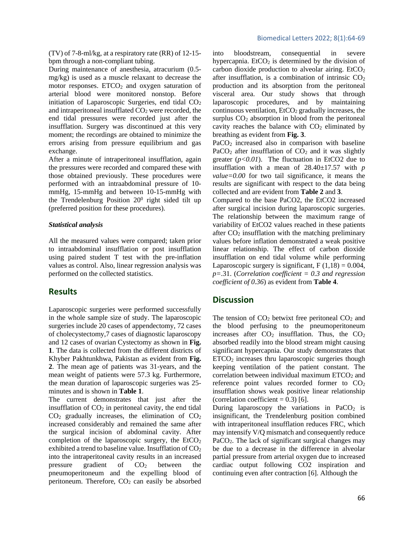(TV) of 7-8-ml/kg, at a respiratory rate (RR) of 12-15 bpm through a non-compliant tubing.

During maintenance of anesthesia, atracurium (0.5 mg/kg) is used as a muscle relaxant to decrease the motor responses.  $ETCO<sub>2</sub>$  and oxygen saturation of arterial blood were monitored nonstop. Before initiation of Laparoscopic Surgeries, end tidal  $CO<sub>2</sub>$ and intraperitoneal insufflated  $CO<sub>2</sub>$  were recorded, the end tidal pressures were recorded just after the insufflation. Surgery was discontinued at this very moment; the recordings are obtained to minimize the errors arising from pressure equilibrium and gas exchange.

After a minute of intraperitoneal insufflation, again the pressures were recorded and compared these with those obtained previously. These procedures were performed with an intraabdominal pressure of 10 mmHg, 15-mmHg and between 10-15-mmHg with the Trendelenburg Position  $20^0$  right sided tilt up (preferred position for these procedures).

#### *Statistical analysis*

All the measured values were compared; taken prior to intraabdominal insufflation or post insufflation using paired student T test with the pre-inflation values as control. Also, linear regression analysis was performed on the collected statistics.

#### **Results**

Laparoscopic surgeries were performed successfully in the whole sample size of study. The laparoscopic surgeries include 20 cases of appendectomy, 72 cases of cholecystectomy,7 cases of diagnostic laparoscopy and 12 cases of ovarian Cystectomy as shown in **Fig. 1**. The data is collected from the different districts of Khyber Pakhtunkhwa, Pakistan as evident from **Fig. 2**. The mean age of patients was 31-years, and the mean weight of patients were 57.3 kg. Furthermore, the mean duration of laparoscopic surgeries was 25 minutes and is shown in **Table 1**.

The current demonstrates that just after the insufflation of  $CO<sub>2</sub>$  in peritoneal cavity, the end tidal  $CO<sub>2</sub>$  gradually increases, the elimination of  $CO<sub>2</sub>$ increased considerably and remained the same after the surgical incision of abdominal cavity. After completion of the laparoscopic surgery, the  $ECO<sub>2</sub>$ exhibited a trend to baseline value. Insufflation of  $CO<sub>2</sub>$ into the intraperitoneal cavity results in an increased pressure gradient of  $CO<sub>2</sub>$  between the pneumoperitoneum and the expelling blood of peritoneum. Therefore,  $CO<sub>2</sub>$  can easily be absorbed into bloodstream, consequential in severe hypercapnia.  $E(CO<sub>2</sub>)$  is determined by the division of carbon dioxide production to alveolar airing.  $EtCO<sub>2</sub>$ after insufflation, is a combination of intrinsic  $CO<sub>2</sub>$ production and its absorption from the peritoneal visceral area. Our study shows that through laparoscopic procedures, and by maintaining continuous ventilation,  $E<sub>1</sub>CO<sub>2</sub>$  gradually increases, the surplus  $CO<sub>2</sub>$  absorption in blood from the peritoneal cavity reaches the balance with  $CO<sub>2</sub>$  eliminated by breathing as evident from **Fig. 3**.

PaCO<sub>2</sub> increased also in comparison with baseline PaCO<sub>2</sub> after insufflation of  $CO<sub>2</sub>$  and it was slightly greater  $(p<0.01)$ . The fluctuation in EtCO2 due to insufflation with a mean of 28.40±17.57 with *p value=0.00* for two tail significance, it means the results are significant with respect to the data being collected and are evident from **Table 2** and **3**.

Compared to the base PaCO2, the EtCO2 increased after surgical incision during laparoscopic surgeries. The relationship between the maximum range of variability of EtCO2 values reached in these patients after  $CO<sub>2</sub>$  insufflation with the matching preliminary values before inflation demonstrated a weak positive linear relationship. The effect of carbon dioxide insufflation on end tidal volume while performing Laparoscopic surgery is significant,  $F(1,18) = 0.004$ , *p=*.31. (*Correlation coefficient = 0.3 and regression coefficient of 0.36*) as evident from **Table 4**.

#### **Discussion**

The tension of  $CO<sub>2</sub>$  betwixt free peritoneal  $CO<sub>2</sub>$  and the blood perfusing to the pneumoperitoneum increases after  $CO<sub>2</sub>$  insufflation. Thus, the  $CO<sub>2</sub>$ absorbed readily into the blood stream might causing significant hypercapnia. Our study demonstrates that  $ETCO<sub>2</sub>$  increases thru laparoscopic surgeries though keeping ventilation of the patient constant. The correlation between individual maximum  $ETCO<sub>2</sub>$  and reference point values recorded former to  $CO<sub>2</sub>$ insufflation shows weak positive linear relationship (correlation coefficient =  $0.3$ ) [6].

During laparoscopy the variations in  $PaCO<sub>2</sub>$  is insignificant, the Trendelenburg position combined with intraperitoneal insufflation reduces FRC, which may intensify V/Q mismatch and consequently reduce PaCO<sub>2</sub>. The lack of significant surgical changes may be due to a decrease in the difference in alveolar partial pressure from arterial oxygen due to increased cardiac output following CO2 inspiration and continuing even after contraction [6]. Although the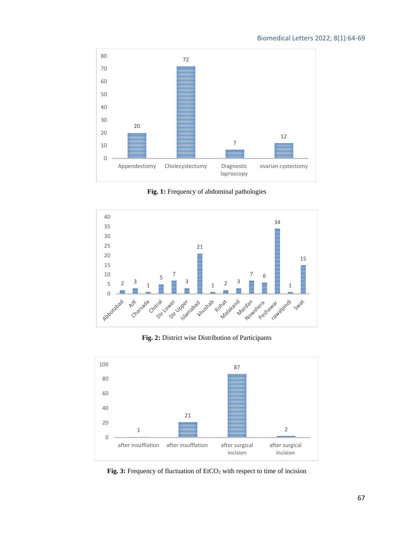

**Fig. 1:** Frequency of abdominal pathologies



**Fig. 2:** District wise Distribution of Participants



Fig. 3: Frequency of fluctuation of EtCO<sub>2</sub> with respect to time of incision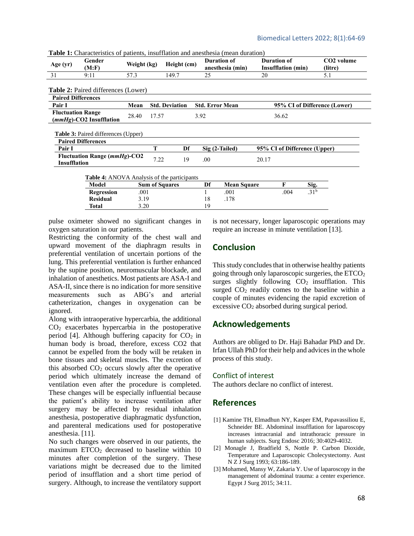**Table 1:** Characteristics of patients, insufflation and anesthesia (mean duration)

| Age $(yr)$                                          | Gender<br>(M: F)                                                        | Weight (kg)                   |                       | Height (cm) | <b>Duration of</b><br>anesthesia (min) | <b>Duration of</b><br><b>Insufflation</b> (min) | CO <sub>2</sub> volume<br>(litre) |
|-----------------------------------------------------|-------------------------------------------------------------------------|-------------------------------|-----------------------|-------------|----------------------------------------|-------------------------------------------------|-----------------------------------|
| 31                                                  | 9:11                                                                    | 57.3                          |                       | 149.7       | 25                                     | 20                                              | 5.1                               |
|                                                     | <b>Table 2:</b> Paired differences (Lower)                              |                               |                       |             |                                        |                                                 |                                   |
| <b>Paired Differences</b>                           |                                                                         |                               |                       |             |                                        |                                                 |                                   |
| Pair I                                              |                                                                         | <b>Std. Deviation</b><br>Mean |                       |             | <b>Std. Error Mean</b>                 | 95% CI of Difference (Lower)                    |                                   |
| <b>Fluctuation Range</b><br>(mmHg)-CO2 Insufflation |                                                                         | 28.40                         | 17.57                 |             | 3.92                                   | 36.62                                           |                                   |
|                                                     |                                                                         |                               |                       |             |                                        |                                                 |                                   |
|                                                     | <b>Table 3: Paired differences (Upper)</b><br><b>Paired Differences</b> |                               |                       |             |                                        |                                                 |                                   |
| Pair I                                              |                                                                         |                               | T                     | Df          | Sig (2-Tailed)                         | 95% CI of Difference (Upper)                    |                                   |
| <b>Insufflation</b>                                 | <b>Fluctuation Range (mmHg)-CO2</b>                                     |                               | 7.22                  | 19          | .00.                                   | 20.17                                           |                                   |
|                                                     | <b>Table 4:</b> ANOVA Analysis of the participants                      |                               |                       |             |                                        |                                                 |                                   |
|                                                     | Model                                                                   |                               | <b>Sum of Squares</b> |             | Df<br><b>Mean Square</b>               | F                                               | Sig.                              |
|                                                     | <b>Regression</b>                                                       | .001                          |                       |             | .001                                   | .004                                            | .31 <sup>b</sup>                  |
|                                                     | <b>Residual</b>                                                         | 3.19                          |                       |             | 18<br>.178                             |                                                 |                                   |

pulse oximeter showed no significant changes in oxygen saturation in our patients.

Restricting the conformity of the chest wall and upward movement of the diaphragm results in preferential ventilation of uncertain portions of the lung. This preferential ventilation is further enhanced by the supine position, neuromuscular blockade, and inhalation of anesthetics. Most patients are ASA-I and ASA-II, since there is no indication for more sensitive measurements such as ABG's and arterial catheterization, changes in oxygenation can be ignored.

Along with intraoperative hypercarbia, the additional CO<sup>2</sup> exacerbates hypercarbia in the postoperative period [4]. Although buffering capacity for  $CO<sub>2</sub>$  in human body is broad, therefore, excess CO2 that cannot be expelled from the body will be retaken in bone tissues and skeletal muscles. The excretion of this absorbed  $CO<sub>2</sub>$  occurs slowly after the operative period which ultimately increase the demand of ventilation even after the procedure is completed. These changes will be especially influential because the patient's ability to increase ventilation after surgery may be affected by residual inhalation anesthesia, postoperative diaphragmatic dysfunction, and parenteral medications used for postoperative anesthesia. [11].

No such changes were observed in our patients, the maximum  $ETCO<sub>2</sub>$  decreased to baseline within 10 minutes after completion of the surgery. These variations might be decreased due to the limited period of insufflation and a short time period of surgery. Although, to increase the ventilatory support

is not necessary, longer laparoscopic operations may require an increase in minute ventilation [13].

# **Conclusion**

This study concludes that in otherwise healthy patients going through only laparoscopic surgeries, the  $ETCO<sub>2</sub>$ surges slightly following  $CO<sub>2</sub>$  insufflation. This surged  $CO<sub>2</sub>$  readily comes to the baseline within a couple of minutes evidencing the rapid excretion of excessive  $CO<sub>2</sub>$  absorbed during surgical period.

# **Acknowledgements**

Authors are obliged to Dr. Haji Bahadar PhD and Dr. Irfan Ullah PhD for their help and advices in the whole process of this study.

#### Conflict of interest

The authors declare no conflict of interest.

# **References**

- [1] Kamine TH, Elmadhun NY, Kasper EM, Papavassiliou E, Schneider BE. Abdominal insufflation for laparoscopy increases intracranial and intrathoracic pressure in human subjects. Surg Endosc 2016; 30:4029-4032.
- [2] Monagle J, Bradfield S, Nottle P. Carbon Dioxide, Temperature and Laparoscopic Cholecystectomy. Aust N Z J Surg 1993; 63:186-189.
- [3] Mohamed, Mansy W, Zakaria Y. Use of laparoscopy in the management of abdominal trauma: a center experience. Egypt J Surg 2015; 34:11.